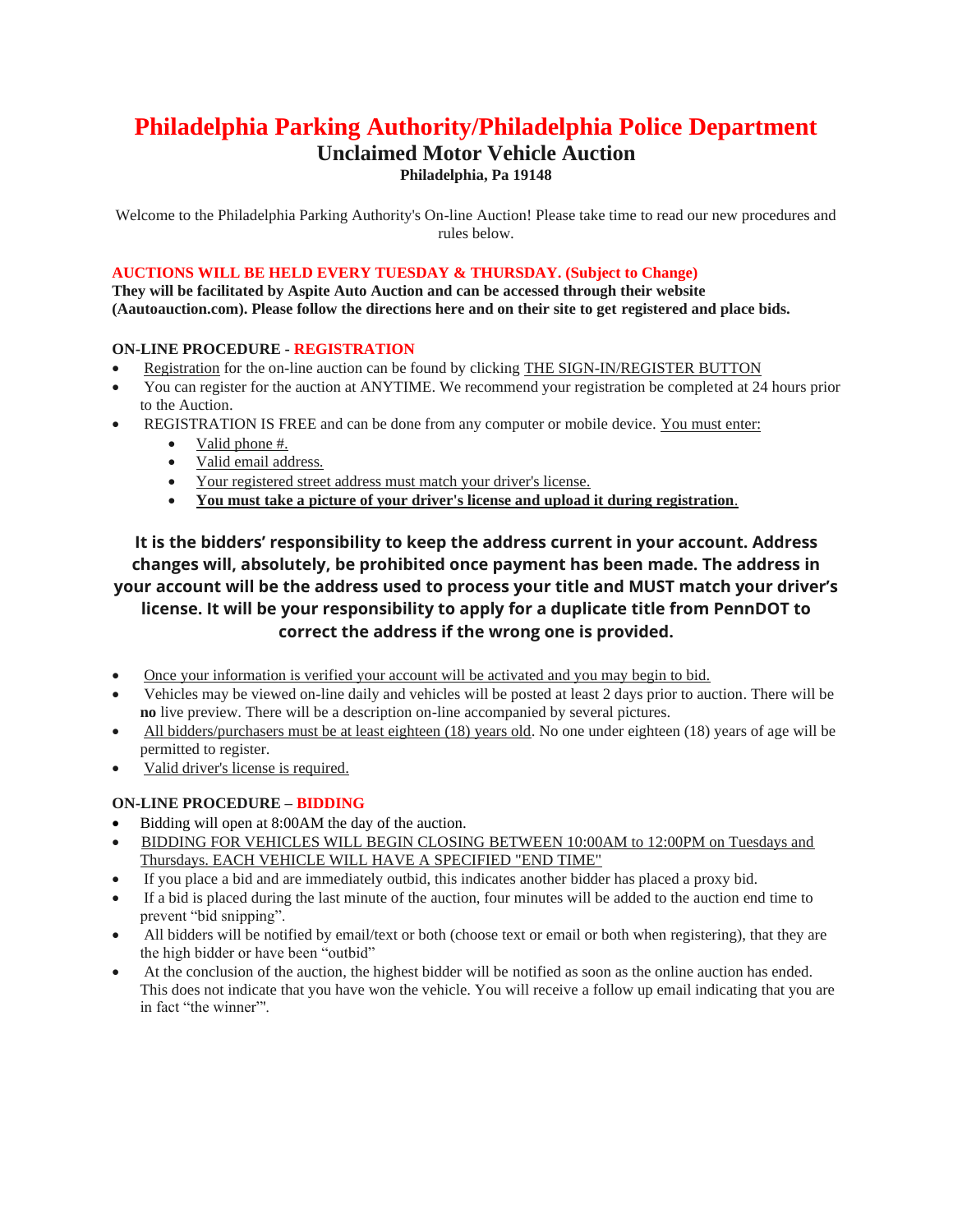# **Philadelphia Parking Authority/Philadelphia Police Department**

# **Unclaimed Motor Vehicle Auction**

**Philadelphia, Pa 19148**

Welcome to the Philadelphia Parking Authority's On-line Auction! Please take time to read our new procedures and rules below.

## **AUCTIONS WILL BE HELD EVERY TUESDAY & THURSDAY. (Subject to Change)**

**They will be facilitated by Aspite Auto Auction and can be accessed through their website (Aautoauction.com). Please follow the directions here and on their site to get registered and place bids.**

#### **ON-LINE PROCEDURE - REGISTRATION**

- Registration for the on-line auction can be found by clicking THE SIGN-IN/REGISTER BUTTON
- You can register for the auction at ANYTIME. We recommend your registration be completed at 24 hours prior to the Auction.
- REGISTRATION IS FREE and can be done from any computer or mobile device. You must enter:
	- Valid phone #.
	- Valid email address.
	- Your registered street address must match your driver's license.
	- **You must take a picture of your driver's license and upload it during registration**.

# **It is the bidders' responsibility to keep the address current in your account. Address changes will, absolutely, be prohibited once payment has been made. The address in your account will be the address used to process your title and MUST match your driver's license. It will be your responsibility to apply for a duplicate title from PennDOT to correct the address if the wrong one is provided.**

- Once your information is verified your account will be activated and you may begin to bid.
- Vehicles may be viewed on-line daily and vehicles will be posted at least 2 days prior to auction. There will be **no** live preview. There will be a description on-line accompanied by several pictures.
- All bidders/purchasers must be at least eighteen (18) years old. No one under eighteen (18) years of age will be permitted to register.
- Valid driver's license is required.

## **ON-LINE PROCEDURE – BIDDING**

- Bidding will open at 8:00AM the day of the auction.
- BIDDING FOR VEHICLES WILL BEGIN CLOSING BETWEEN 10:00AM to 12:00PM on Tuesdays and Thursdays. EACH VEHICLE WILL HAVE A SPECIFIED "END TIME"
- If you place a bid and are immediately outbid, this indicates another bidder has placed a proxy bid.
- If a bid is placed during the last minute of the auction, four minutes will be added to the auction end time to prevent "bid snipping".
- All bidders will be notified by email/text or both (choose text or email or both when registering), that they are the high bidder or have been "outbid"
- At the conclusion of the auction, the highest bidder will be notified as soon as the online auction has ended. This does not indicate that you have won the vehicle. You will receive a follow up email indicating that you are in fact "the winner"'.